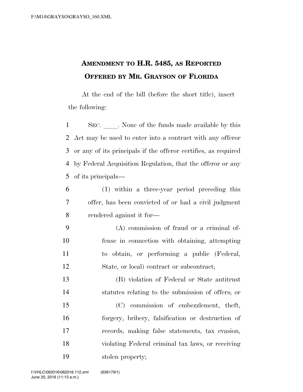## **AMENDMENT TO H.R. 5485, AS REPORTED OFFERED BY MR. GRAYSON OF FLORIDA**

At the end of the bill (before the short title), insert the following:

1 SEC. None of the funds made available by this Act may be used to enter into a contract with any offeror or any of its principals if the offeror certifies, as required by Federal Acquisition Regulation, that the offeror or any of its principals—

- (1) within a three-year period preceding this offer, has been convicted of or had a civil judgment rendered against it for—
- (A) commission of fraud or a criminal of- fense in connection with obtaining, attempting to obtain, or performing a public (Federal, State, or local) contract or subcontract;

 (B) violation of Federal or State antitrust statutes relating to the submission of offers; or

 (C) commission of embezzlement, theft, forgery, bribery, falsification or destruction of records, making false statements, tax evasion, violating Federal criminal tax laws, or receiving stolen property;